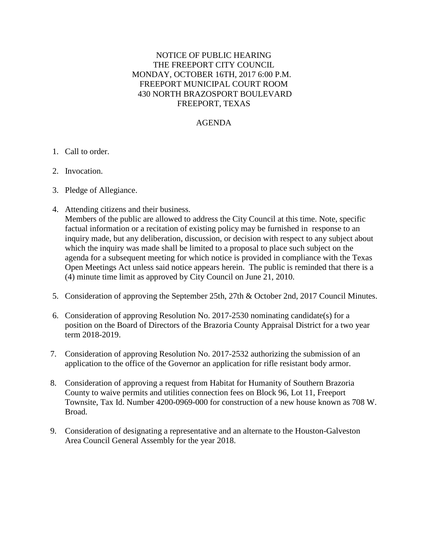## NOTICE OF PUBLIC HEARING THE FREEPORT CITY COUNCIL MONDAY, OCTOBER 16TH, 2017 6:00 P.M. FREEPORT MUNICIPAL COURT ROOM 430 NORTH BRAZOSPORT BOULEVARD FREEPORT, TEXAS

## AGENDA

- 1. Call to order.
- 2. Invocation.
- 3. Pledge of Allegiance.
- 4. Attending citizens and their business.

 Members of the public are allowed to address the City Council at this time. Note, specific factual information or a recitation of existing policy may be furnished in response to an inquiry made, but any deliberation, discussion, or decision with respect to any subject about which the inquiry was made shall be limited to a proposal to place such subject on the agenda for a subsequent meeting for which notice is provided in compliance with the Texas Open Meetings Act unless said notice appears herein. The public is reminded that there is a (4) minute time limit as approved by City Council on June 21, 2010.

- 5. Consideration of approving the September 25th, 27th & October 2nd, 2017 Council Minutes.
- 6. Consideration of approving Resolution No. 2017-2530 nominating candidate(s) for a position on the Board of Directors of the Brazoria County Appraisal District for a two year term 2018-2019.
- 7. Consideration of approving Resolution No. 2017-2532 authorizing the submission of an application to the office of the Governor an application for rifle resistant body armor.
- 8. Consideration of approving a request from Habitat for Humanity of Southern Brazoria County to waive permits and utilities connection fees on Block 96, Lot 11, Freeport Townsite, Tax Id. Number 4200-0969-000 for construction of a new house known as 708 W. Broad.
- 9. Consideration of designating a representative and an alternate to the Houston-Galveston Area Council General Assembly for the year 2018.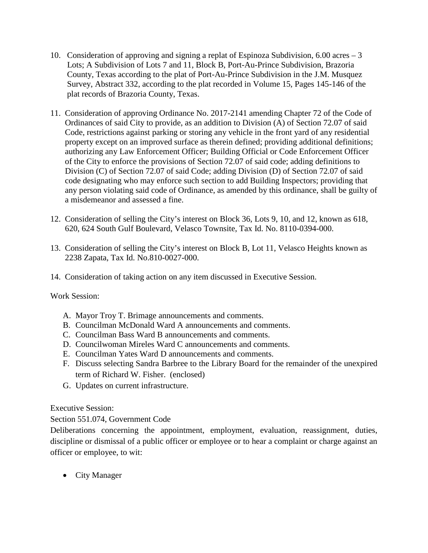- 10. Consideration of approving and signing a replat of Espinoza Subdivision, 6.00 acres 3 Lots; A Subdivision of Lots 7 and 11, Block B, Port-Au-Prince Subdivision, Brazoria County, Texas according to the plat of Port-Au-Prince Subdivision in the J.M. Musquez Survey, Abstract 332, according to the plat recorded in Volume 15, Pages 145-146 of the plat records of Brazoria County, Texas.
- 11. Consideration of approving Ordinance No. 2017-2141 amending Chapter 72 of the Code of Ordinances of said City to provide, as an addition to Division (A) of Section 72.07 of said Code, restrictions against parking or storing any vehicle in the front yard of any residential property except on an improved surface as therein defined; providing additional definitions; authorizing any Law Enforcement Officer; Building Official or Code Enforcement Officer of the City to enforce the provisions of Section 72.07 of said code; adding definitions to Division (C) of Section 72.07 of said Code; adding Division (D) of Section 72.07 of said code designating who may enforce such section to add Building Inspectors; providing that any person violating said code of Ordinance, as amended by this ordinance, shall be guilty of a misdemeanor and assessed a fine.
- 12. Consideration of selling the City's interest on Block 36, Lots 9, 10, and 12, known as 618, 620, 624 South Gulf Boulevard, Velasco Townsite, Tax Id. No. 8110-0394-000.
- 13. Consideration of selling the City's interest on Block B, Lot 11, Velasco Heights known as 2238 Zapata, Tax Id. No.810-0027-000.
- 14. Consideration of taking action on any item discussed in Executive Session.

Work Session:

- A. Mayor Troy T. Brimage announcements and comments.
- B. Councilman McDonald Ward A announcements and comments.
- C. Councilman Bass Ward B announcements and comments.
- D. Councilwoman Mireles Ward C announcements and comments.
- E. Councilman Yates Ward D announcements and comments.
- F. Discuss selecting Sandra Barbree to the Library Board for the remainder of the unexpired term of Richard W. Fisher. (enclosed)
- G. Updates on current infrastructure.

Executive Session:

Section 551.074, Government Code

Deliberations concerning the appointment, employment, evaluation, reassignment, duties, discipline or dismissal of a public officer or employee or to hear a complaint or charge against an officer or employee, to wit:

• City Manager